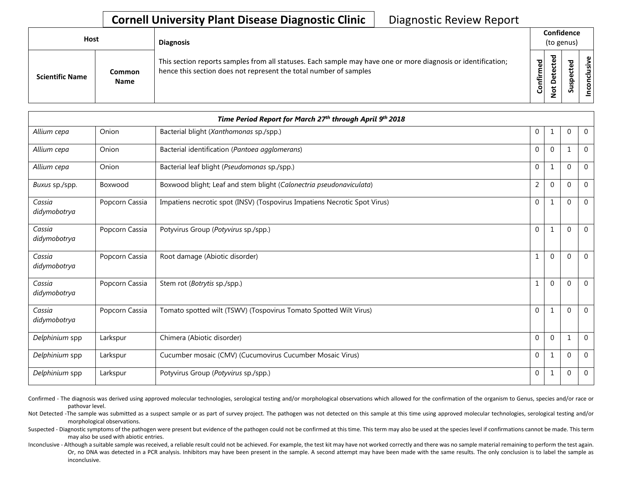## **Cornell University Plant Disease Diagnostic Clinic** | Diagnostic Review Report

| <b>Host</b>            |                       | <b>Diagnosis</b>                                                                                                                                                                   |           | Confidence<br>(to genus) |        |                       |  |  |
|------------------------|-----------------------|------------------------------------------------------------------------------------------------------------------------------------------------------------------------------------|-----------|--------------------------|--------|-----------------------|--|--|
| <b>Scientific Name</b> | Common<br><b>Name</b> | This section reports samples from all statuses. Each sample may have one or more diagnosis or identification;<br>hence this section does not represent the total number of samples | Confirmed | ъ<br>$\circ$             | š<br>n | usive<br>᠊ᠣ<br>c<br>g |  |  |

| Time Period Report for March 27th through April 9th 2018 |                |                                                                           |                |              |              |                |
|----------------------------------------------------------|----------------|---------------------------------------------------------------------------|----------------|--------------|--------------|----------------|
| Allium cepa                                              | Onion          | Bacterial blight (Xanthomonas sp./spp.)                                   | $\mathbf{0}$   | $\mathbf{1}$ | $\mathbf 0$  | $\mathbf 0$    |
| Allium cepa                                              | Onion          | Bacterial identification (Pantoea agglomerans)                            | $\Omega$       | $\Omega$     | $\mathbf 1$  | $\mathbf 0$    |
| Allium cepa                                              | Onion          | Bacterial leaf blight (Pseudomonas sp./spp.)                              | $\Omega$       | $\mathbf{1}$ | $\Omega$     | $\theta$       |
| Buxus sp./spp.                                           | Boxwood        | Boxwood blight; Leaf and stem blight (Calonectria pseudonaviculata)       | $\overline{2}$ | $\mathbf{0}$ | $\Omega$     | $\mathbf 0$    |
| Cassia<br>didymobotrya                                   | Popcorn Cassia | Impatiens necrotic spot (INSV) (Tospovirus Impatiens Necrotic Spot Virus) | $\mathbf{0}$   | $\mathbf{1}$ | $\Omega$     | $\mathbf{0}$   |
| Cassia<br>didymobotrya                                   | Popcorn Cassia | Potyvirus Group (Potyvirus sp./spp.)                                      | $\mathbf{0}$   | $\mathbf{1}$ | $\Omega$     | $\Omega$       |
| Cassia<br>didymobotrya                                   | Popcorn Cassia | Root damage (Abiotic disorder)                                            | $\mathbf{1}$   | $\mathbf{0}$ | $\mathbf 0$  | $\overline{0}$ |
| Cassia<br>didymobotrya                                   | Popcorn Cassia | Stem rot (Botrytis sp./spp.)                                              | $\mathbf{1}$   | $\Omega$     | $\Omega$     | $\Omega$       |
| Cassia<br>didymobotrya                                   | Popcorn Cassia | Tomato spotted wilt (TSWV) (Tospovirus Tomato Spotted Wilt Virus)         | $\overline{0}$ | $\mathbf{1}$ | $\Omega$     | $\overline{0}$ |
| Delphinium spp                                           | Larkspur       | Chimera (Abiotic disorder)                                                | $\Omega$       | $\Omega$     | $\mathbf{1}$ | $\mathbf 0$    |
| Delphinium spp                                           | Larkspur       | Cucumber mosaic (CMV) (Cucumovirus Cucumber Mosaic Virus)                 | $\Omega$       | $\mathbf{1}$ | $\Omega$     | $\Omega$       |
| Delphinium spp                                           | Larkspur       | Potyvirus Group (Potyvirus sp./spp.)                                      | $\mathbf{0}$   | $\mathbf{1}$ | $\mathbf{0}$ | $\mathbf 0$    |

Confirmed - The diagnosis was derived using approved molecular technologies, serological testing and/or morphological observations which allowed for the confirmation of the organism to Genus, species and/or race or pathovar level.

Not Detected -The sample was submitted as a suspect sample or as part of survey project. The pathogen was not detected on this sample at this time using approved molecular technologies, serological testing and/or morphological observations.

Suspected - Diagnostic symptoms of the pathogen were present but evidence of the pathogen could not be confirmed at this time. This term may also be used at the species level if confirmations cannot be made. This term may also be used with abiotic entries.

Inconclusive - Although a suitable sample was received, a reliable result could not be achieved. For example, the test kit may have not worked correctly and there was no sample material remaining to perform the test again. Or, no DNA was detected in a PCR analysis. Inhibitors may have been present in the sample. A second attempt may have been made with the same results. The only conclusion is to label the sample as inconclusive.